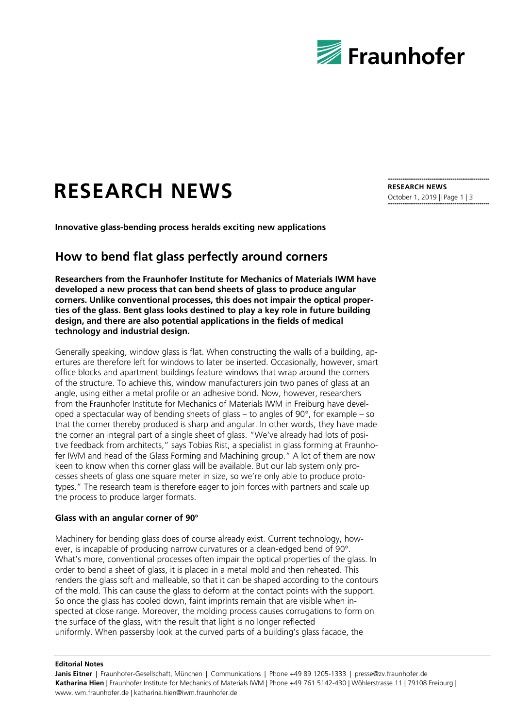

# **RESEARCH NEWS**

**Innovative glass-bending process heralds exciting new applications**

# **How to bend flat glass perfectly around corners**

**Researchers from the Fraunhofer Institute for Mechanics of Materials IWM have developed a new process that can bend sheets of glass to produce angular corners. Unlike conventional processes, this does not impair the optical properties of the glass. Bent glass looks destined to play a key role in future building design, and there are also potential applications in the fields of medical technology and industrial design.**

Generally speaking, window glass is flat. When constructing the walls of a building, apertures are therefore left for windows to later be inserted. Occasionally, however, smart office blocks and apartment buildings feature windows that wrap around the corners of the structure. To achieve this, window manufacturers join two panes of glass at an angle, using either a metal profile or an adhesive bond. Now, however, researchers from the Fraunhofer Institute for Mechanics of Materials IWM in Freiburg have developed a spectacular way of bending sheets of glass – to angles of  $90^\circ$ , for example – so that the corner thereby produced is sharp and angular. In other words, they have made the corner an integral part of a single sheet of glass. "We've already had lots of positive feedback from architects," says Tobias Rist, a specialist in glass forming at Fraunhofer IWM and head of the Glass Forming and Machining group." A lot of them are now keen to know when this corner glass will be available. But our lab system only processes sheets of glass one square meter in size, so we're only able to produce prototypes." The research team is therefore eager to join forces with partners and scale up the process to produce larger formats.

### **Glass with an angular corner of 90°**

Machinery for bending glass does of course already exist. Current technology, however, is incapable of producing narrow curvatures or a clean-edged bend of 90°. What's more, conventional processes often impair the optical properties of the glass. In order to bend a sheet of glass, it is placed in a metal mold and then reheated. This renders the glass soft and malleable, so that it can be shaped according to the contours of the mold. This can cause the glass to deform at the contact points with the support. So once the glass has cooled down, faint imprints remain that are visible when inspected at close range. Moreover, the molding process causes corrugations to form on the surface of the glass, with the result that light is no longer reflected uniformly. When passersby look at the curved parts of a building's glass facade, the

#### **Editorial Notes**

Janis Eitner | Fraunhofer-Gesellschaft, München | Communications | Phone +49 89 1205-1333 | presse@zv.fraunhofer.de **Katharina Hien** | Fraunhofer Institute for Mechanics of Materials IWM | Phone +49 761 5142-430 | Wöhlerstrasse 11 | 79108 Freiburg | www.iwm.fraunhofer.de | katharina.hien@iwm.fraunhofer.de

**RESEARCH NEWS** October 1, 2019 || Page 1 | 3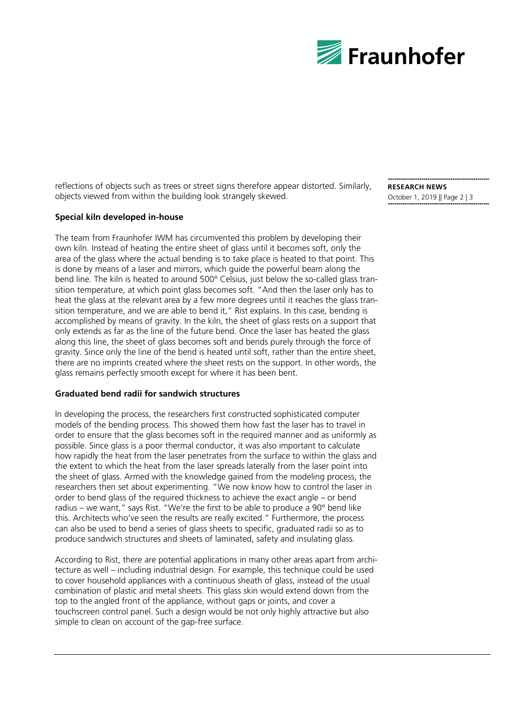

reflections of objects such as trees or street signs therefore appear distorted. Similarly, objects viewed from within the building look strangely skewed.

# **Special kiln developed in-house**

The team from Fraunhofer IWM has circumvented this problem by developing their own kiln. Instead of heating the entire sheet of glass until it becomes soft, only the area of the glass where the actual bending is to take place is heated to that point. This is done by means of a laser and mirrors, which guide the powerful beam along the bend line. The kiln is heated to around 500° Celsius, just below the so-called glass transition temperature, at which point glass becomes soft. "And then the laser only has to heat the glass at the relevant area by a few more degrees until it reaches the glass transition temperature, and we are able to bend it," Rist explains. In this case, bending is accomplished by means of gravity. In the kiln, the sheet of glass rests on a support that only extends as far as the line of the future bend. Once the laser has heated the glass along this line, the sheet of glass becomes soft and bends purely through the force of gravity. Since only the line of the bend is heated until soft, rather than the entire sheet, there are no imprints created where the sheet rests on the support. In other words, the glass remains perfectly smooth except for where it has been bent.

## **Graduated bend radii for sandwich structures**

In developing the process, the researchers first constructed sophisticated computer models of the bending process. This showed them how fast the laser has to travel in order to ensure that the glass becomes soft in the required manner and as uniformly as possible. Since glass is a poor thermal conductor, it was also important to calculate how rapidly the heat from the laser penetrates from the surface to within the glass and the extent to which the heat from the laser spreads laterally from the laser point into the sheet of glass. Armed with the knowledge gained from the modeling process, the researchers then set about experimenting. "We now know how to control the laser in order to bend glass of the required thickness to achieve the exact angle – or bend radius – we want," says Rist. "We're the first to be able to produce a 90° bend like this. Architects who've seen the results are really excited." Furthermore, the process can also be used to bend a series of glass sheets to specific, graduated radii so as to produce sandwich structures and sheets of laminated, safety and insulating glass.

According to Rist, there are potential applications in many other areas apart from architecture as well – including industrial design. For example, this technique could be used to cover household appliances with a continuous sheath of glass, instead of the usual combination of plastic and metal sheets. This glass skin would extend down from the top to the angled front of the appliance, without gaps or joints, and cover a touchscreen control panel. Such a design would be not only highly attractive but also simple to clean on account of the gap-free surface.

**RESEARCH NEWS** October 1, 2019 || Page 2 | 3